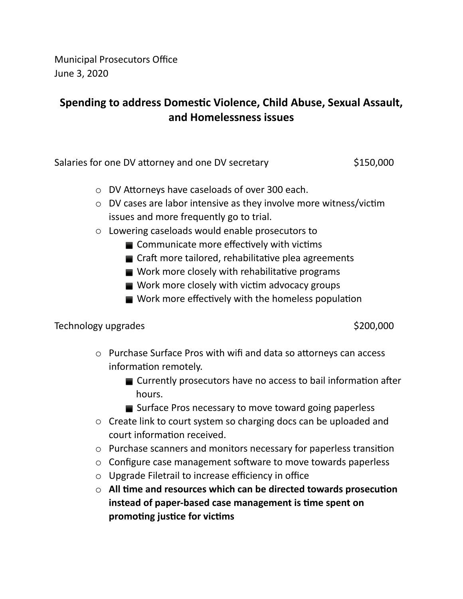Municipal Prosecutors Office June 3, 2020

## **Spending to address Domestic Violence, Child Abuse, Sexual Assault, and Homelessness issues**

Salaries for one DV attorney and one DV secretary  $$150,000$ 

- $\circ$  DV Attorneys have caseloads of over 300 each.
- $\circ$  DV cases are labor intensive as they involve more witness/victim issues and more frequently go to trial.
- o Lowering caseloads would enable prosecutors to
	- $\blacksquare$  Communicate more effectively with victims
	- $\blacksquare$  Craft more tailored, rehabilitative plea agreements
	- $\blacksquare$  Work more closely with rehabilitative programs
	- $\blacksquare$  Work more closely with victim advocacy groups
	- $\blacksquare$  Work more effectively with the homeless population

## Technology upgrades  $\lessgtr$   $\lessgtr$   $\lessgtr$   $\lessgtr$   $\lessgtr$   $\lessgtr$   $\lessgtr$   $\lessgtr$   $\lessgtr$   $\lessgtr$   $\lessgtr$   $\lessgtr$   $\lessgtr$   $\lessgtr$   $\lessgtr$   $\lessgtr$   $\lessgtr$   $\lessgtr$   $\lessgtr$   $\lessgtr$   $\lessgtr$   $\lessgtr$   $\lessgtr$   $\lessgtr$   $\lessgtr$   $\lessgtr$   $\lessgtr$   $\lessgtr$   $\lessgtr$

- $\circ$  Purchase Surface Pros with wifi and data so attorneys can access information remotely.
	- $\blacksquare$  Currently prosecutors have no access to bail information after hours.
	- Surface Pros necessary to move toward going paperless
- o Create link to court system so charging docs can be uploaded and court information received.
- $\circ$  Purchase scanners and monitors necessary for paperless transition
- $\circ$  Configure case management software to move towards paperless
- o Upgrade Filetrail to increase efficiency in office
- $\circ$  All time and resources which can be directed towards prosecution **instead of paper-based case management is time spent on promoting justice for victims**